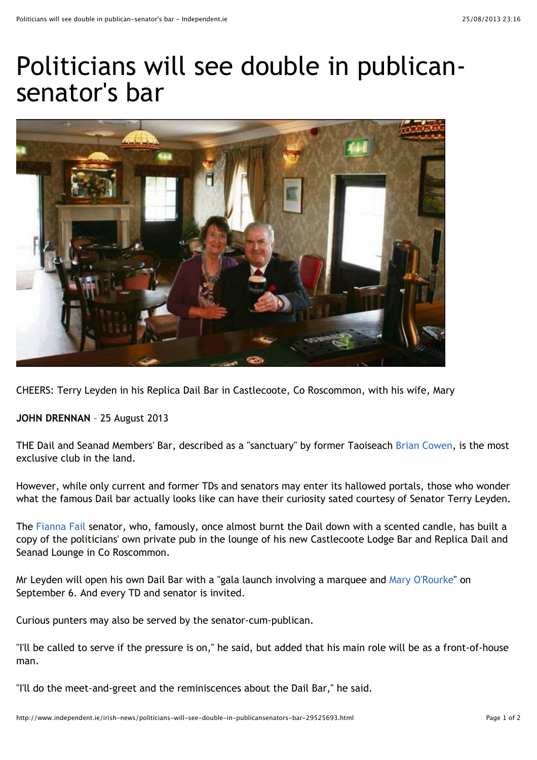## Politicians will see double in publicansenator's bar



CHEERS: Terry Leyden in his Replica Dail Bar in Castlecoote, Co Roscommon, with his wife, Mary

**JOHN DRENNAN** – 25 August 2013

THE Dail and Seanad Members' Bar, described as a "sanctuary" by former Taoiseach [Brian Cowen,](http://searchtopics.independent.ie/topic/Brian_Cowen) is the most exclusive club in the land.

However, while only current and former TDs and senators may enter its hallowed portals, those who wonder what the famous Dail bar actually looks like can have their curiosity sated courtesy of Senator Terry Leyden.

The [Fianna Fail](http://searchtopics.independent.ie/topic/Fianna_Fail) senator, who, famously, once almost burnt the Dail down with a scented candle, has built a copy of the politicians' own private pub in the lounge of his new Castlecoote Lodge Bar and Replica Dail and Seanad Lounge in Co Roscommon.

Mr Leyden will open his own Dail Bar with a "gala launch involving a marquee and [Mary O'Rourke"](http://searchtopics.independent.ie/topic/Mary_O) on September 6. And every TD and senator is invited.

Curious punters may also be served by the senator-cum-publican.

"I'll be called to serve if the pressure is on," he said, but added that his main role will be as a front-of-house man.

"I'll do the meet-and-greet and the reminiscences about the Dail Bar," he said.